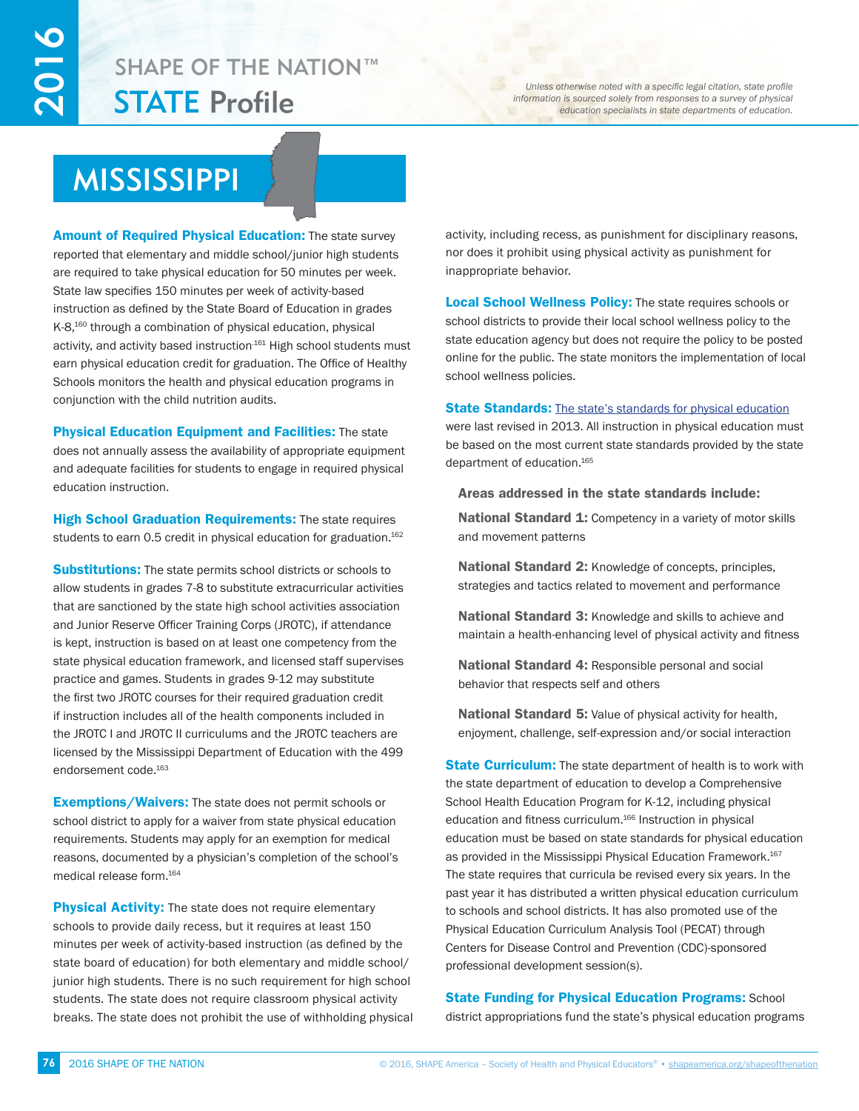## STATE Profile SHAPE OF THE NATION™

*Unless otherwise noted with a specific legal citation, state profile information is sourced solely from responses to a survey of physical education specialists in state departments of education.*

# MISSISSIPPI

**Amount of Required Physical Education:** The state survey reported that elementary and middle school/junior high students are required to take physical education for 50 minutes per week. State law specifies 150 minutes per week of activity-based instruction as defined by the State Board of Education in grades K-8,<sup>160</sup> through a combination of physical education, physical activity, and activity based instruction<sup>161</sup> High school students must earn physical education credit for graduation. The Office of Healthy Schools monitors the health and physical education programs in conjunction with the child nutrition audits.

Physical Education Equipment and Facilities: The state does not annually assess the availability of appropriate equipment and adequate facilities for students to engage in required physical education instruction.

**High School Graduation Requirements:** The state requires students to earn 0.5 credit in physical education for graduation.<sup>162</sup>

**Substitutions:** The state permits school districts or schools to allow students in grades 7-8 to substitute extracurricular activities that are sanctioned by the state high school activities association and Junior Reserve Officer Training Corps (JROTC), if attendance is kept, instruction is based on at least one competency from the state physical education framework, and licensed staff supervises practice and games. Students in grades 9-12 may substitute the first two JROTC courses for their required graduation credit if instruction includes all of the health components included in the JROTC I and JROTC II curriculums and the JROTC teachers are licensed by the Mississippi Department of Education with the 499 endorsement code.163

**Exemptions/Waivers:** The state does not permit schools or school district to apply for a waiver from state physical education requirements. Students may apply for an exemption for medical reasons, documented by a physician's completion of the school's medical release form.164

**Physical Activity:** The state does not require elementary schools to provide daily recess, but it requires at least 150 minutes per week of activity-based instruction (as defined by the state board of education) for both elementary and middle school/ junior high students. There is no such requirement for high school students. The state does not require classroom physical activity breaks. The state does not prohibit the use of withholding physical activity, including recess, as punishment for disciplinary reasons, nor does it prohibit using physical activity as punishment for inappropriate behavior.

**Local School Wellness Policy:** The state requires schools or school districts to provide their local school wellness policy to the state education agency but does not require the policy to be posted online for the public. The state monitors the implementation of local school wellness policies.

## **State Standards:** [The state's standards for physical education](http://www.mde.k12.ms.us/docs/healthy-schools/health-education-framework)

were last revised in 2013. All instruction in physical education must be based on the most current state standards provided by the state department of education.165

## Areas addressed in the state standards include:

National Standard 1: Competency in a variety of motor skills and movement patterns

National Standard 2: Knowledge of concepts, principles, strategies and tactics related to movement and performance

National Standard 3: Knowledge and skills to achieve and maintain a health-enhancing level of physical activity and fitness

National Standard 4: Responsible personal and social behavior that respects self and others

National Standard 5: Value of physical activity for health, enjoyment, challenge, self-expression and/or social interaction

State Curriculum: The state department of health is to work with the state department of education to develop a Comprehensive School Health Education Program for K-12, including physical education and fitness curriculum.<sup>166</sup> Instruction in physical education must be based on state standards for physical education as provided in the Mississippi Physical Education Framework.<sup>167</sup> The state requires that curricula be revised every six years. In the past year it has distributed a written physical education curriculum to schools and school districts. It has also promoted use of the Physical Education Curriculum Analysis Tool (PECAT) through Centers for Disease Control and Prevention (CDC)-sponsored professional development session(s).

## **State Funding for Physical Education Programs: School** district appropriations fund the state's physical education programs